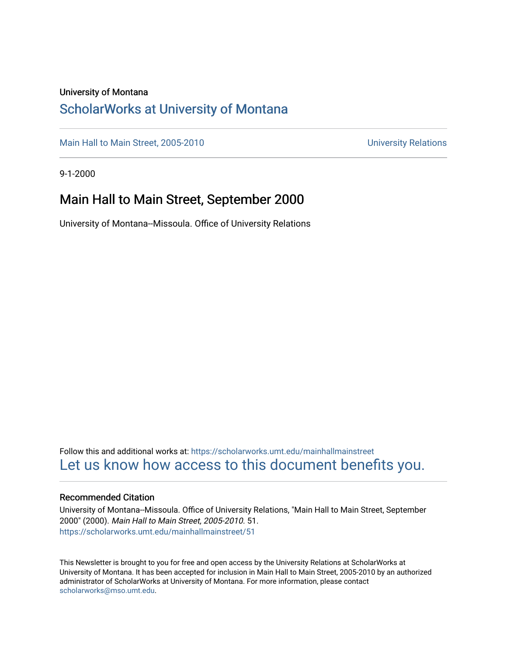# University of Montana

# [ScholarWorks at University of Montana](https://scholarworks.umt.edu/)

[Main Hall to Main Street, 2005-2010](https://scholarworks.umt.edu/mainhallmainstreet) Main Hall to Main Street, 2005-2010

9-1-2000

# Main Hall to Main Street, September 2000

University of Montana--Missoula. Office of University Relations

Follow this and additional works at: [https://scholarworks.umt.edu/mainhallmainstreet](https://scholarworks.umt.edu/mainhallmainstreet?utm_source=scholarworks.umt.edu%2Fmainhallmainstreet%2F51&utm_medium=PDF&utm_campaign=PDFCoverPages) [Let us know how access to this document benefits you.](https://goo.gl/forms/s2rGfXOLzz71qgsB2) 

## Recommended Citation

University of Montana--Missoula. Office of University Relations, "Main Hall to Main Street, September 2000" (2000). Main Hall to Main Street, 2005-2010. 51. [https://scholarworks.umt.edu/mainhallmainstreet/51](https://scholarworks.umt.edu/mainhallmainstreet/51?utm_source=scholarworks.umt.edu%2Fmainhallmainstreet%2F51&utm_medium=PDF&utm_campaign=PDFCoverPages) 

This Newsletter is brought to you for free and open access by the University Relations at ScholarWorks at University of Montana. It has been accepted for inclusion in Main Hall to Main Street, 2005-2010 by an authorized administrator of ScholarWorks at University of Montana. For more information, please contact [scholarworks@mso.umt.edu.](mailto:scholarworks@mso.umt.edu)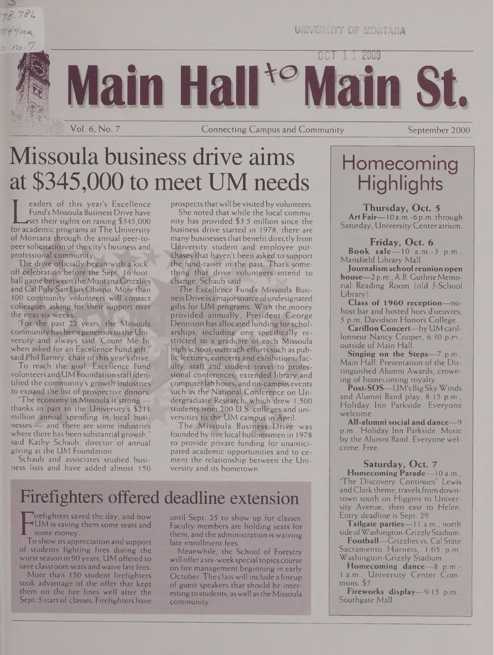



UNIVERSITY OF MONTANA

11 2000

Main Hall<sup>to</sup>Ma rin St.

Vol. 6, No. 7 Connecting Campus and Community September 2000

# Missoula business drive aims at \$345,000 to meet UM needs

Fund's Missoula Business Drive have<br>Lest their sights on raising \$345,000<br>for academic programs at The University<br>of Montana through the annual poor to eaders of this year's Excellence Fund's Missoula Business Drive have set their sights on raising \$345,000 of Montana through the annual peer-topeersolicitation of the city's business and professional community.

The drive officially began with a kickoff celebration before the Sept. 16 football game between the Montana Grizzlies and Cal Poly San Luis Obispo. More than 100 community volunteers will contact colleagues asking for their support over the next six weeks.

"For the. past 22 years, the Missoula community has been generous to the University arid always said 'Count Me In' when asked for an Excellence Fund gift," said Phil Barney, chair of this year's drive.

To reach the goal, Excellence Fund volunteers and UM Foundation staffidentified the community's growth industries to expand the list of prospective donors.

'The economy in Missoula is strong thanks in part to the University's \$211 million annual spending in local businesses - and there are some industries where there has been substantial growth,' said Kathy Schaub, director of annual giving at the UM Foundation.

Schaub and associates studied business lists and have added almost 150 prospects that will be visited by volunteers.

She noted that while the local community has provided \$3.5 million since the business drive started in 1978, there are many businessesthat benefit directly from University student and employee purchases that haven't been asked to support the fund-raiser in the past. That's something that drive volunteers intend to change, Schaub said:

The Excellence Fund's Missoula Business Drive is a major source of undesignated gifts for UM programs. With the money provided annually, President George Dennison has allocated funding for scholarships, including one specifically restricted to a graduate of each Missoula high school, outreach efforts such as public lectures, concerts and exhibitions, faculty, staff and student travel to professional conferences; extended library and computer lab hours, and on-campus events such as the National Conference on Undergraduate Research, which drew 1,500 students from 200 U.S. colleges and universities to the UM campus in April.

The Missoula Business Drive was founded by five local businessmen in 1978 to provide private funding for unanticipated academic opportunities and to cement the relationship between the University and its hometown.

# Firefighters offered deadline extension

FUM is saving them some seats and<br>some money.<br>To show its appreciation and support irefighters saved the day, and now UM is saving them some seats and some money.

of students fighting fires during the worst season in 90 years, UM offered to save classroom seats and waive late fees.

More than 150 student firefighters took advantage of the offer that kept them on the fire lines well after the Sept. 5 start of classes. Firefighters have until Sept. 25 to show up for classes. Faculty members are holding seats for them, and the administration is waiving late enrollment fees.

Meanwhile, the School of Forestry will offera six-week special topics course on fire management beginning in early October. The class will include a lineup of guest speakers that should be interesting to students, as well as the Missoula community.

# Homecoming **Highlights**

**Thursday, Oct. 5 Art Fair—**10 a.m.-6 p.m. through Saturday, University Center atrium.

**Friday, Oct. 6**

**Book sale—**10 a.m.-3 p.m., Mansfield Library Mall.

**Journalism school reunion open house—**2 p.m.,A.B. GuthrieMemorial Reading Room (old J-School Library).

**Class of 1960 reception—**nohost bar and hosted hors d'oeuvres, 5 p.m, Davidson Honors College.

**Carillon Concert—**by UM carillonneur Nancy Cooper, 6:30 p.m., outside of Main Hall.

**Singing on the Steps—**7 p.m., Main Hall. Presentation of the Distinguished Alumni Awards, crowning of homecoming royalty.

**Post-SOS—**UM'sBig Sky Winds and Alumni Band play, 8:15 p.m., Holiday Inn Parkside. Everyone welcome.

**All-alumni social and dance—**9 p.m., Holiday Inn Parkside. Music by the Alumni Band. Everyone welcome. Free.

### **Saturday, Oct. 7**

**Homecoming Parade—**10 a.m., 'The Discovery Continues" Lewis and Clark theme, travels from downtown south on Higgins to University Avenue, then east to Helen. Entry deadline is Sept. 29.

**Tailgate parties—**<sup>11</sup> a.m., north side ofWashington-GrizzlyStadium.

**Football—**Grizzlies vs. Cal State Sacramento Hornets, 1:05 p.m. Washington-Grizzly Stadium.

**Homecoming dance—**8 p.m.- <sup>1</sup> a.m., University Center Commons. \$5.

**Fireworks display—**9:15 p.m., Southgate Mall.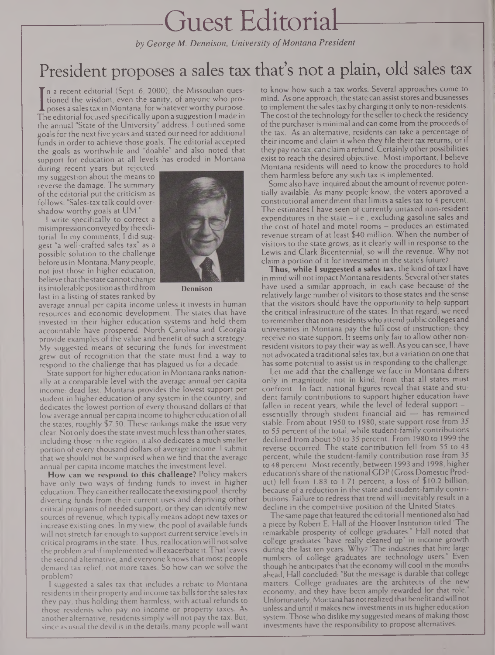# Guest Editorial

*by George M. Dennison, University ofMontana President*

# President proposes a sales tax that's not a plain, old sales tax

I poses a sales tax in Montana, for whatever worthy purpose.<br>The editorial focused specifically upon a suggestion I made in n a recent editorial (Sept. 6, 2000), the Missoulian questioned the wisdom, even the sanity, of anyone who proposes a sales tax in Montana, for whatever worthy purpose. the annual "State of the University" address. <sup>I</sup> outlined some goals forthe next five years and stated our need for additional funds in order to achieve those goals. The editorial accepted the goals as worthwhile and "doable" and also noted that support for education at all levels has eroded in Montana

during recent years but rejected my suggestion about the means to reverse the damage. The summary of the editorial put the criticism as follows: "Sales-tax talk could overshadow worthy goals at UM.

<sup>I</sup> write specifically to correct a misimpression conveyedby the editorial. In my comments, <sup>I</sup> did suggest "a well-crafted sales tax" as a possible solution to the challenge before usin Montana. Many people, not just those in higher education, believe that the state cannot change its intolerable position as third from last in a listing of states ranked by



**Dennison**

average annual per capita income unless it invests in human resources and economic development. The states that have invested in their higher education systems 'and held them accountable have prospered. North Carolina and Georgia provide examples of the value and benefit of such a strategy. My suggested means of securing the funds for investment grew out of recognition that the state must find a way to respond to the challenge that has plagued us for a decade.

State support for higher education in Montana ranks nationally at a comparable level with the average annual per capita income: dead last. Montana provides the lowest support per student in higher education of any system in the country, and dedicates the lowest portion of every thousand dollars of that low average annual per capita income to higher education of all the states, roughly \$7.50. These rankings make the issue very clear. Not only does the state invest much less than other states, including those in the region, it also dedicates a much smaller portion of every thousand dollars of average income. <sup>I</sup> submit that we should not be surprised when we find that the average annual per capita income matches the investment level.

**How can we respond to this challenge?** Policy makers have only two ways of finding funds to invest in higher education.They can eitherreallocate the existingpool, thereby diverting funds from their current uses and depriving other critical programs of needed support, or they can identify new sources of revenue, which typically means adopt new taxes or increase existing ones. In my view, the pool of available funds will not stretch far enough to support current service levels in critical programsin the state. Thus, reallocation will notsolve the problem and ifimplementedwill exacerbate it. Thatleaves the second alternative, and everyone knows that most people demand tax relief, not more taxes. So how can we solve the problem?

<sup>1</sup> suggested a sales tax that includes a rebate to Montana residents in their property and income tax bills for the sales tax they pay, thus holding them harmless, with actual refunds to those residents who pay no income or property taxes. As another alternative, residents simply will not pay the tax, But, since as usual the devil is in the details, many people will want

to know how such a tax works. Several approaches come to mind. As one approach, the state can assist stores and businesses to implement the sales tax by charging it only to non-residents. The cost of the technology for the seller to check the residency of the purchaser is minimal and can come from the proceeds of the tax. As an alternative, residents can take a percentage of their income and claim it when they file their tax returns, or if they pay no tax, can claim a refund. Certainlyother possibilities exist to reach the desired objective. Most important, <sup>I</sup> believe Montana residents will need to know the procedures to hold them harmless before any such tax is implemented.

Some also have inquired about the amount of revenue potentially available. As many people know, the voters approved a constitutional amendment that limits a sales tax to 4 percent. The estimates <sup>1</sup> have seen of currently untaxed non-resident expenditures in the state  $-$  i.e., excluding gasoline sales and the cost of hotel and motel rooms - produces an estimated revenue stream of at least \$40 million. When the number of visitors to the state grows, as it clearly will in response to the Lewis and Clark Bicentennial, so will the revenue. Why not claim a portion of it for investment in the state's future?

**Thus, while I suggested a sales tax,** the kind of tax <sup>I</sup> have in mind will not impact Montana residents. Several other states have used a similar approach, in each case because'of the relatively large number of visitors to those states and the sense that the visitors should have the opportunity to help support the critical infrastructure of the states. In that regard, we need to remember that non-residents who attend public colleges and universities in Montana pay the full cost of instruction, they receive no state support. It seems only fair to allow other nonresident visitors to pay their way as well. As you can see, <sup>I</sup> have not advocated a traditional sales tax, but a variation on one that has some potential to assist us in responding to the challenge.

Let me add that the challenge we face in Montana differs only in magnitude, not in kind, from that all states must confront. In fact, national figures reveal that state and student-family contributions to support higher education have fallen in recent years, while the level of federal support essentially through student financial aid — has remained stable. From about 1950 to 1980, state support rose from 35 to 55 percent of the total, while student-family contributions declined from about 50 to 35 percent. From 1980 to 1999 the reverse occurred: The state contribution fell from 55 to 43 percent, while the student-family contribution rose from 35 to 48 percent. Most recently, between 1993 and 1998, higher education's share of the national GDP (Gross Domestic Product) fell from 1.83 to 1.71 percent, a loss of \$10.2 billion, because of a reduction in the state and student-family contributions. Failure to redress that trend will inevitably result in a decline in the competitive position of the United States.

The same page that featured the editorial <sup>I</sup> mentionedalso had a piece by Robert E. Hall of the Hoover Institution titled "The remarkable prosperity of college graduates." Hall noted that college graduates "have really cleaned up" in income growth during the last ten years. Why? "The industries that hire large numbers of college graduates are technology users." Even though he anticipates that the economy will cool in the months ahead, Hall concluded: "But the message is durable that college matters. College graduates are the architects of the new economy, and they have been amply rewarded for that role." Unfortunately, Montana has not realized that benefit and will not unless and until it makes new investments in its higher education system. Those who dislike my suggested means of making those investments have the responsibility to propose alternatives.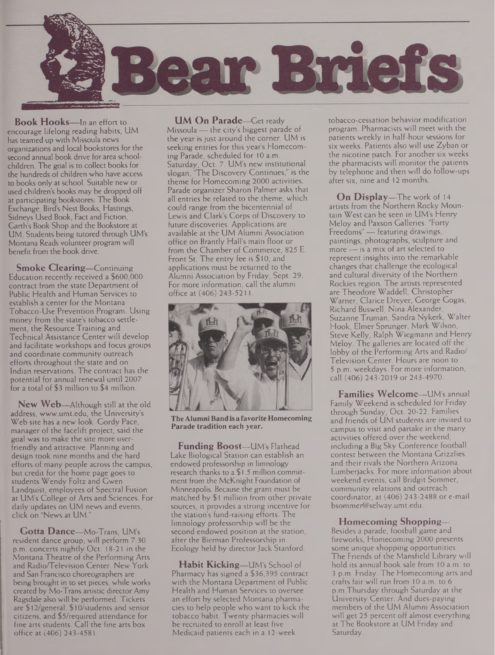

**Book Hooks—**In an effort to encourage lifelong reading habits, UM has teamed up with Missoula news organizations and local bookstores for the second annual book drive for area schoolchildren. The goal is to collect books for the hundreds of children who have access to books only at school. Suitable new or used children's books may be dropped off at participating bookstores: The Book Exchange, Bird's Nest Books, Hastings, Sidneys Used Book, Fact and Fiction, Garth's Book Shop and the Bookstore at UM. Students being tutored through UM's Montana Reads volunteer program will benefit from the book drive.

**Smoke Clearing—**Continuing Education recently received a \$600,000 contract from the state Department of Public Health and Human Services to establish a center for the Montana Tobacco-Use Prevention Program. Using money from the state's tobacco settlement, the Resource Training and Technical Assistance Center will develop and facilitate workshops and focus groups and coordinate community outreach efforts throughout the state and on Indian reservations. The contract has the potential for annual renewal until 2007 for a total of \$3 million to \$4 million.

**New Web—**Although still at the old address, [www.umt.edu](http://www.umt.edu), the University's Web site has a new look. Gordy Pace, manager of the facelift project, said the goal was to make the site more userfriendly and attractive. Planning and design took nine months and the hard efforts of many people across the campus, but credit for the home page goes to students Wendy Foltz and Gwen Landquist, employees of Spectral Fusion at UM's College of Arts and Sciences. For daily updates on UM news and events, click on "News at UM.

**Gotta Dance—**Mo-Trans, UM's resident dance group, will perform 7:30 p.m. concerts nightly Oct. 18-21 in the Montana Theatre of the Performing Arts and Radio/Teievision Center. New York and San Francisco choreographers are being brought in to set pieces, while works created by Mo-Trans artistic director Amy Ragsdale also will be performed. Tickets are \$12/general, \$10/students and senior citizens, and \$5/required attendance for fine arts students. Call the fine arts box office at (406) 243-4581.

**UM On Parade—**Get ready Missoula — the city's biggest parade of the year is just around the corner. UM is seeking entries for this year's Homecoming Parade, scheduled for 10 a.m. Saturday, Oct. 7. UM's new institutional slogan, "The Discovery Continues," is the theme for Homecoming 2000 activities. Parade organizer Sharon Palmer asks that all entries be related to the theme, which could range from the bicentennial of Lewis and Clark's Corps of Discovery to future discoveries. Applications are available at the UM Alumni Association office on Brantly Hall's main floor or from the Chamber of Commerce, 825 E. Front St. The entry fee is \$10, and applications must be returned to the Alumni Association by Friday, Sept. 29. For more information, call the alumni office at (406) 243-5211.



**TheAlumniBandisafavoriteHomecoming Parade tradition each year.**

**Funding Boost—**UM's Flathead Lake Biological Station can establish an endowed professorship in limnology research thanks to a \$1.5 million commitment from the McKnight Foundation of Minneapolis. Because the grant must be matched by \$1 million from other private sources, it provides a strong incentive for the station's fund-raising efforts. The limnology professorship will be the second endowed position at the station, after the Bierman Professorship in Ecology held by director Jack Stanford

**Habit Kicking—**UM's School of Pharmacy has signed a \$36,395 contract with the Montana Department of Public Health and Human Services to oversee an effort by selected Montana pharmacies to help people who want to kick the tobacco habit. Twenty pharmacies will be recruited to enroll at least five Medicaid patients each in a 12-week

tobacco-cessation behavior modification program. Pharmacists will meet with the patients weekly in half-hour sessions for six weeks. Patients also will use Zyban or the nicotine patch. For another six weeks the pharmacists will monitor the patients by telephone and then will do follow-ups after six, nine and 12 months.

**On Display—**The work of <sup>14</sup> artists from the Northern Rocky Mountain West can be seen in UM's Henry Meloy and Paxson Galleries. "Forty Freedoms" — featuring drawings, paintings, photographs, sculpture and more — is a mix of art selected to represent insights into the remarkable changes that challenge the ecological and cultural diversity of the Northern Rockies region. The artists represented are Theodore Waddell, Christopher Warner, Clarice Dreyer, George Gogas, Richard Buswell, Nina Alexander, Suzanne Truman, Sandra Nykerk, Walter Hook, Elmer Sprunger, Mark Wilson, Steve Kelly, Ralph Wiegmann and Henry Meloy. The galleries are located off the lobby of the Performing Arts and Radio/ Television Center. Hours are noon to 5 p.m. weekdays. For more information, call (406) 243-2019 or 243-4970.

**Families Welcome—**UM's annual Family Weekend is scheduled for Friday through Sunday, Oct. 20-22. Families and friends of UM students are invited to campus to visit and partake in the many activities offered over the weekend, including a Big Sky Conference football contest between the Montana Grizzlies and their rivals the Northern Arizona Lumberjacks. For more information about weekend events, call Bridgit Sommer, community relations and outreach coordinator, at (406) 243-2488 or e-mail [bsommer@selway.umt.edu](mailto:bsommer@selway.umt.edu).

#### **Homecoming Shopping—**

Besides a parade, football game and fireworks, Homecoming 2000 presents some unique shopping opportunities. The Friends of the Mansfield Library will hold its annual book sale from 10 a.m. to 3 p.m. Friday. The Homecoming arts and crafts fair will run from 10 a.m. to 6 p.m.Thursday through Saturday at the University Center. And dues-paying members of the UM Alumni Association will get 25 percent off almost everything at The Bookstore at UM Friday and Saturday.